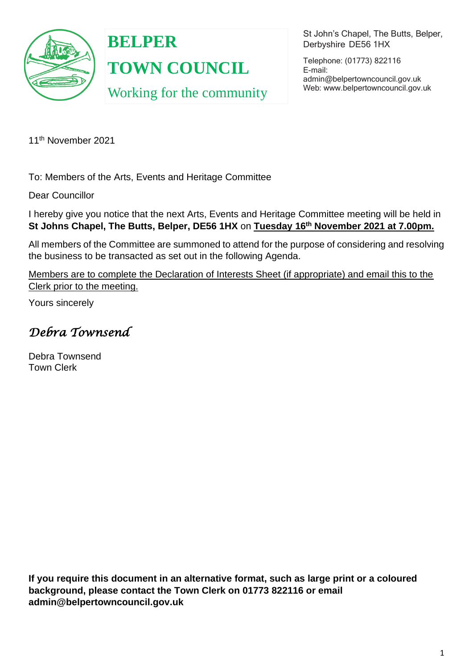

**BELPER TOWN COUNCIL** Working for the community St John's Chapel, The Butts, Belper, Derbyshire DE56 1HX

Telephone: (01773) 822116 E-mail: [admin@belpertowncouncil.gov.uk](mailto:admin@belpertowncouncil.gov.uk) Web: [www.belpertowncouncil.gov.uk](http://www.belpertowncouncil.gov.uk/)

11th November 2021

To: Members of the Arts, Events and Heritage Committee

Dear Councillor

I hereby give you notice that the next Arts, Events and Heritage Committee meeting will be held in **St Johns Chapel, The Butts, Belper, DE56 1HX** on **Tuesday 16th November 2021 at 7.00pm.** 

All members of the Committee are summoned to attend for the purpose of considering and resolving the business to be transacted as set out in the following Agenda.

Members are to complete the Declaration of Interests Sheet (if appropriate) and email this to the Clerk prior to the meeting.

Yours sincerely

*Debra Townsend* 

Debra Townsend Town Clerk

**If you require this document in an alternative format, such as large print or a coloured background, please contact the Town Clerk on 01773 822116 or email admin@belpertowncouncil.gov.uk**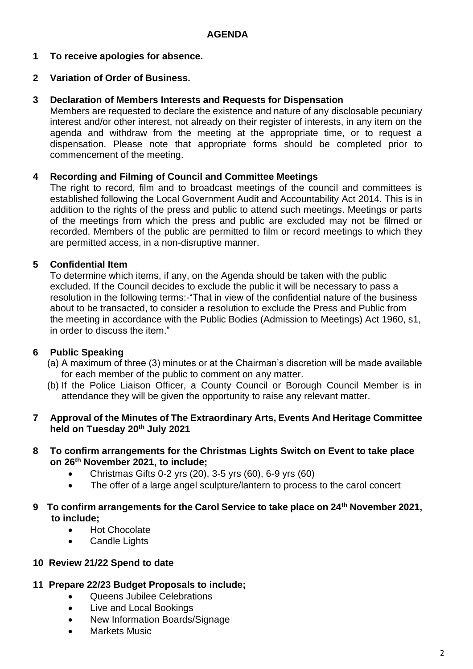**1 To receive apologies for absence.**

# **2 Variation of Order of Business.**

### **3 Declaration of Members Interests and Requests for Dispensation**

Members are requested to declare the existence and nature of any disclosable pecuniary interest and/or other interest, not already on their register of interests, in any item on the agenda and withdraw from the meeting at the appropriate time, or to request a dispensation. Please note that appropriate forms should be completed prior to commencement of the meeting.

## **4 Recording and Filming of Council and Committee Meetings**

The right to record, film and to broadcast meetings of the council and committees is established following the Local Government Audit and Accountability Act 2014. This is in addition to the rights of the press and public to attend such meetings. Meetings or parts of the meetings from which the press and public are excluded may not be filmed or recorded. Members of the public are permitted to film or record meetings to which they are permitted access, in a non-disruptive manner.

# **5 Confidential Item**

To determine which items, if any, on the Agenda should be taken with the public excluded. If the Council decides to exclude the public it will be necessary to pass a resolution in the following terms:-"That in view of the confidential nature of the business about to be transacted, to consider a resolution to exclude the Press and Public from the meeting in accordance with the Public Bodies (Admission to Meetings) Act 1960, s1, in order to discuss the item."

## **6 Public Speaking**

- (a) A maximum of three (3) minutes or at the Chairman's discretion will be made available for each member of the public to comment on any matter.
- (b) If the Police Liaison Officer, a County Council or Borough Council Member is in attendance they will be given the opportunity to raise any relevant matter.

## **7 Approval of the Minutes of The Extraordinary Arts, Events And Heritage Committee held on Tuesday 20th July 2021**

#### **8 To confirm arrangements for the Christmas Lights Switch on Event to take place on 26th November 2021, to include;**

- Christmas Gifts 0-2 yrs (20), 3-5 yrs (60), 6-9 yrs (60)
- The offer of a large angel sculpture/lantern to process to the carol concert

## **9 To confirm arrangements for the Carol Service to take place on 24th November 2021, to include;**

- Hot Chocolate
- Candle Lights

## **10 Review 21/22 Spend to date**

## **11 Prepare 22/23 Budget Proposals to include;**

- Queens Jubilee Celebrations
- Live and Local Bookings
- New Information Boards/Signage
- Markets Music